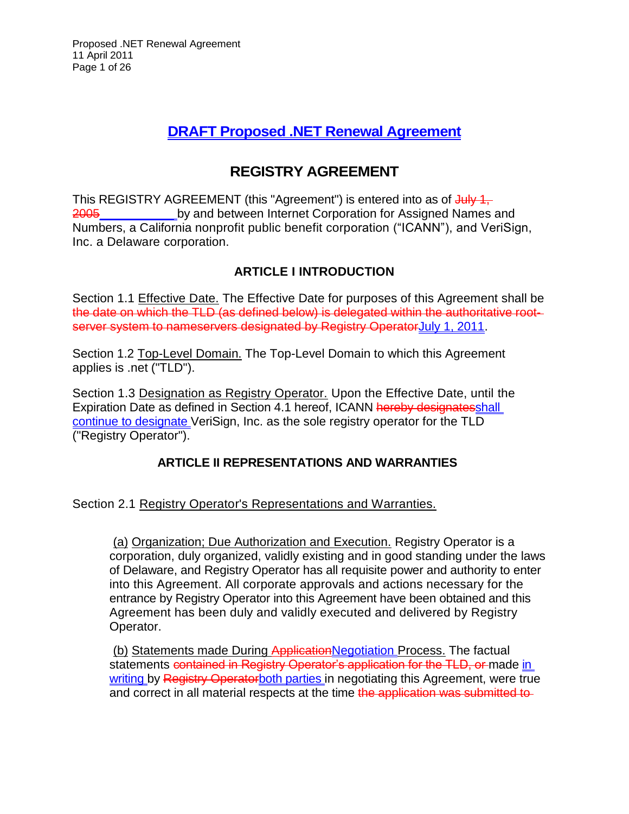## **DRAFT Proposed .NET Renewal Agreement**

# **REGISTRY AGREEMENT**

This REGISTRY AGREEMENT (this "Agreement") is entered into as of July 1, 2005\_\_\_\_\_\_\_\_\_\_\_\_\_\_\_by and between Internet Corporation for Assigned Names and Numbers, a California nonprofit public benefit corporation ("ICANN"), and VeriSign, Inc. a Delaware corporation.

## **ARTICLE I INTRODUCTION**

Section 1.1 Effective Date. The Effective Date for purposes of this Agreement shall be the date on which the TLD (as defined below) is delegated within the authoritative rootserver system to nameservers designated by Registry OperatorJuly 1, 2011.

Section 1.2 Top-Level Domain. The Top-Level Domain to which this Agreement applies is .net ("TLD").

Section 1.3 Designation as Registry Operator. Upon the Effective Date, until the Expiration Date as defined in Section 4.1 hereof, ICANN hereby designatesshall continue to designate VeriSign, Inc. as the sole registry operator for the TLD ("Registry Operator").

## **ARTICLE II REPRESENTATIONS AND WARRANTIES**

## Section 2.1 Registry Operator's Representations and Warranties.

(a) Organization; Due Authorization and Execution. Registry Operator is a corporation, duly organized, validly existing and in good standing under the laws of Delaware, and Registry Operator has all requisite power and authority to enter into this Agreement. All corporate approvals and actions necessary for the entrance by Registry Operator into this Agreement have been obtained and this Agreement has been duly and validly executed and delivered by Registry Operator.

(b) Statements made During ApplicationNegotiation Process. The factual statements contained in Registry Operator's application for the TLD, or made in writing by Registry Operatorboth parties in negotiating this Agreement, were true and correct in all material respects at the time the application was submitted to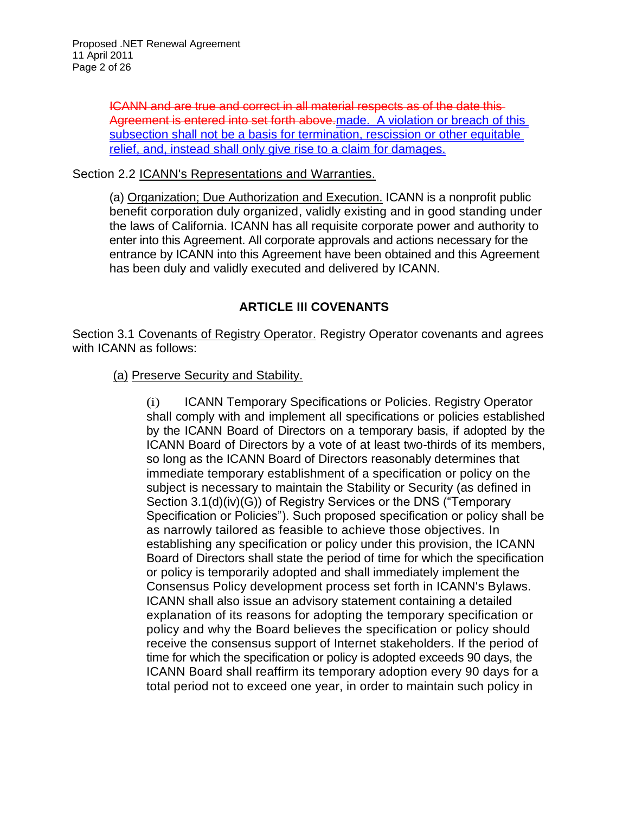ICANN and are true and correct in all material respects as of the date this Agreement is entered into set forth above.made. A violation or breach of this subsection shall not be a basis for termination, rescission or other equitable relief, and, instead shall only give rise to a claim for damages.

Section 2.2 ICANN's Representations and Warranties.

(a) Organization; Due Authorization and Execution. ICANN is a nonprofit public benefit corporation duly organized, validly existing and in good standing under the laws of California. ICANN has all requisite corporate power and authority to enter into this Agreement. All corporate approvals and actions necessary for the entrance by ICANN into this Agreement have been obtained and this Agreement has been duly and validly executed and delivered by ICANN.

## **ARTICLE III COVENANTS**

Section 3.1 Covenants of Registry Operator. Registry Operator covenants and agrees with ICANN as follows:

#### (a) Preserve Security and Stability.

(i) ICANN Temporary Specifications or Policies. Registry Operator shall comply with and implement all specifications or policies established by the ICANN Board of Directors on a temporary basis, if adopted by the ICANN Board of Directors by a vote of at least two-thirds of its members, so long as the ICANN Board of Directors reasonably determines that immediate temporary establishment of a specification or policy on the subject is necessary to maintain the Stability or Security (as defined in Section 3.1(d)(iv)(G)) of Registry Services or the DNS ("Temporary Specification or Policies"). Such proposed specification or policy shall be as narrowly tailored as feasible to achieve those objectives. In establishing any specification or policy under this provision, the ICANN Board of Directors shall state the period of time for which the specification or policy is temporarily adopted and shall immediately implement the Consensus Policy development process set forth in ICANN's Bylaws. ICANN shall also issue an advisory statement containing a detailed explanation of its reasons for adopting the temporary specification or policy and why the Board believes the specification or policy should receive the consensus support of Internet stakeholders. If the period of time for which the specification or policy is adopted exceeds 90 days, the ICANN Board shall reaffirm its temporary adoption every 90 days for a total period not to exceed one year, in order to maintain such policy in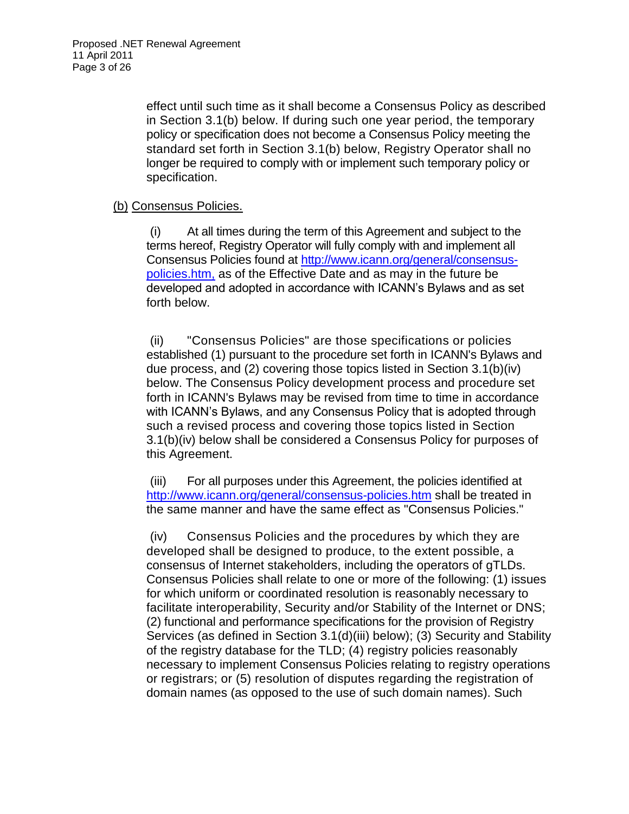effect until such time as it shall become a Consensus Policy as described in Section 3.1(b) below. If during such one year period, the temporary policy or specification does not become a Consensus Policy meeting the standard set forth in Section 3.1(b) below, Registry Operator shall no longer be required to comply with or implement such temporary policy or specification.

#### (b) Consensus Policies.

(i) At all times during the term of this Agreement and subject to the terms hereof, Registry Operator will fully comply with and implement all Consensus Policies found at [http://www.icann.org/general/consensus](http://www.icann.org/general/consensus-policies.htm,)[policies.htm,](http://www.icann.org/general/consensus-policies.htm,) as of the Effective Date and as may in the future be developed and adopted in accordance with ICANN's Bylaws and as set forth below.

(ii) "Consensus Policies" are those specifications or policies established (1) pursuant to the procedure set forth in ICANN's Bylaws and due process, and (2) covering those topics listed in Section 3.1(b)(iv) below. The Consensus Policy development process and procedure set forth in ICANN's Bylaws may be revised from time to time in accordance with ICANN's Bylaws, and any Consensus Policy that is adopted through such a revised process and covering those topics listed in Section 3.1(b)(iv) below shall be considered a Consensus Policy for purposes of this Agreement.

(iii) For all purposes under this Agreement, the policies identified at <http://www.icann.org/general/consensus-policies.htm> shall be treated in the same manner and have the same effect as "Consensus Policies."

(iv) Consensus Policies and the procedures by which they are developed shall be designed to produce, to the extent possible, a consensus of Internet stakeholders, including the operators of gTLDs. Consensus Policies shall relate to one or more of the following: (1) issues for which uniform or coordinated resolution is reasonably necessary to facilitate interoperability, Security and/or Stability of the Internet or DNS; (2) functional and performance specifications for the provision of Registry Services (as defined in Section 3.1(d)(iii) below); (3) Security and Stability of the registry database for the TLD; (4) registry policies reasonably necessary to implement Consensus Policies relating to registry operations or registrars; or (5) resolution of disputes regarding the registration of domain names (as opposed to the use of such domain names). Such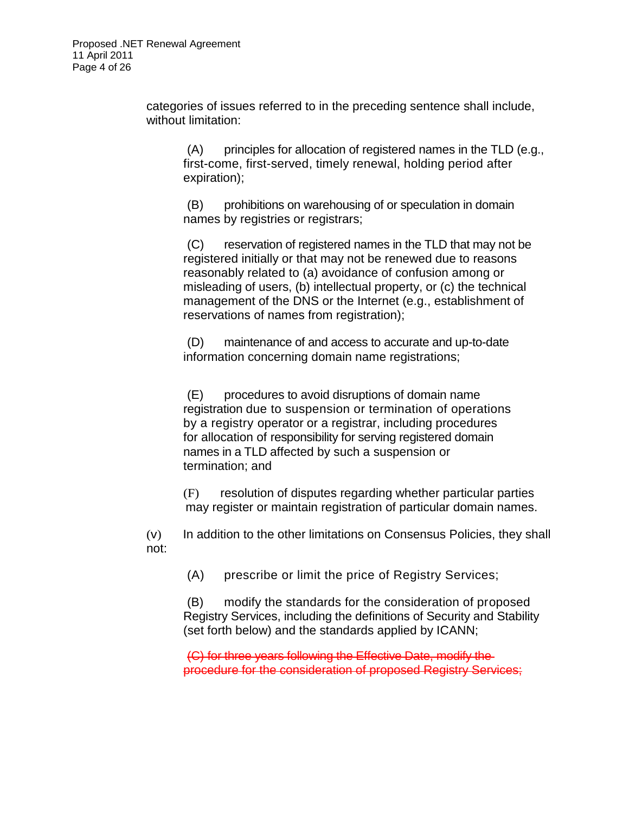categories of issues referred to in the preceding sentence shall include, without limitation:

(A) principles for allocation of registered names in the TLD (e.g., first-come, first-served, timely renewal, holding period after expiration);

(B) prohibitions on warehousing of or speculation in domain names by registries or registrars;

(C) reservation of registered names in the TLD that may not be registered initially or that may not be renewed due to reasons reasonably related to (a) avoidance of confusion among or misleading of users, (b) intellectual property, or (c) the technical management of the DNS or the Internet (e.g., establishment of reservations of names from registration);

(D) maintenance of and access to accurate and up-to-date information concerning domain name registrations;

(E) procedures to avoid disruptions of domain name registration due to suspension or termination of operations by a registry operator or a registrar, including procedures for allocation of responsibility for serving registered domain names in a TLD affected by such a suspension or termination; and

(F) resolution of disputes regarding whether particular parties may register or maintain registration of particular domain names.

(v) In addition to the other limitations on Consensus Policies, they shall not:

(A) prescribe or limit the price of Registry Services;

(B) modify the standards for the consideration of proposed Registry Services, including the definitions of Security and Stability (set forth below) and the standards applied by ICANN;

(C) for three years following the Effective Date, modify the procedure for the consideration of proposed Registry Services;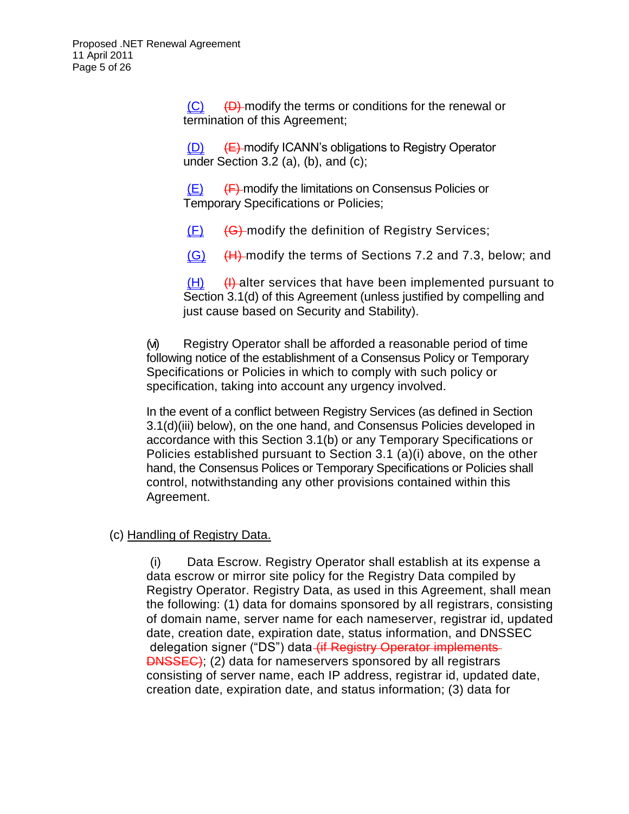$(C)$   $(D)$  modify the terms or conditions for the renewal or termination of this Agreement;

 $(D)$  (E) modify ICANN's obligations to Registry Operator under Section 3.2 (a), (b), and  $(c)$ ;

 $(E)$  (F) modify the limitations on Consensus Policies or Temporary Specifications or Policies;

 $(F)$  (G) modify the definition of Registry Services;

 $(G)$  (H) modify the terms of Sections 7.2 and 7.3, below; and

 $(H)$  (H) diter services that have been implemented pursuant to Section 3.1(d) of this Agreement (unless justified by compelling and just cause based on Security and Stability).

(vi) Registry Operator shall be afforded a reasonable period of time following notice of the establishment of a Consensus Policy or Temporary Specifications or Policies in which to comply with such policy or specification, taking into account any urgency involved.

In the event of a conflict between Registry Services (as defined in Section 3.1(d)(iii) below), on the one hand, and Consensus Policies developed in accordance with this Section 3.1(b) or any Temporary Specifications or Policies established pursuant to Section 3.1 (a)(i) above, on the other hand, the Consensus Polices or Temporary Specifications or Policies shall control, notwithstanding any other provisions contained within this Agreement.

#### (c) Handling of Registry Data.

(i) Data Escrow. Registry Operator shall establish at its expense a data escrow or mirror site policy for the Registry Data compiled by Registry Operator. Registry Data, as used in this Agreement, shall mean the following: (1) data for domains sponsored by all registrars, consisting of domain name, server name for each nameserver, registrar id, updated date, creation date, expiration date, status information, and DNSSEC delegation signer ("DS") data (if Registry Operator implements **DNSSEC)**; (2) data for nameservers sponsored by all registrars consisting of server name, each IP address, registrar id, updated date, creation date, expiration date, and status information; (3) data for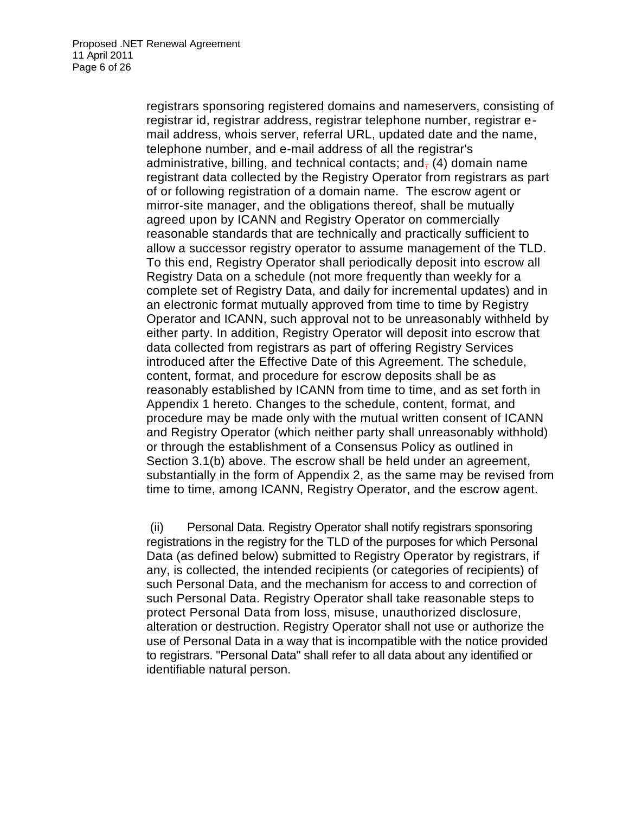registrars sponsoring registered domains and nameservers, consisting of registrar id, registrar address, registrar telephone number, registrar email address, whois server, referral URL, updated date and the name, telephone number, and e-mail address of all the registrar's administrative, billing, and technical contacts; and,  $(4)$  domain name registrant data collected by the Registry Operator from registrars as part of or following registration of a domain name. The escrow agent or mirror-site manager, and the obligations thereof, shall be mutually agreed upon by ICANN and Registry Operator on commercially reasonable standards that are technically and practically sufficient to allow a successor registry operator to assume management of the TLD. To this end, Registry Operator shall periodically deposit into escrow all Registry Data on a schedule (not more frequently than weekly for a complete set of Registry Data, and daily for incremental updates) and in an electronic format mutually approved from time to time by Registry Operator and ICANN, such approval not to be unreasonably withheld by either party. In addition, Registry Operator will deposit into escrow that data collected from registrars as part of offering Registry Services introduced after the Effective Date of this Agreement. The schedule, content, format, and procedure for escrow deposits shall be as reasonably established by ICANN from time to time, and as set forth in Appendix 1 hereto. Changes to the schedule, content, format, and procedure may be made only with the mutual written consent of ICANN and Registry Operator (which neither party shall unreasonably withhold) or through the establishment of a Consensus Policy as outlined in Section 3.1(b) above. The escrow shall be held under an agreement, substantially in the form of Appendix 2, as the same may be revised from time to time, among ICANN, Registry Operator, and the escrow agent.

(ii) Personal Data. Registry Operator shall notify registrars sponsoring registrations in the registry for the TLD of the purposes for which Personal Data (as defined below) submitted to Registry Operator by registrars, if any, is collected, the intended recipients (or categories of recipients) of such Personal Data, and the mechanism for access to and correction of such Personal Data. Registry Operator shall take reasonable steps to protect Personal Data from loss, misuse, unauthorized disclosure, alteration or destruction. Registry Operator shall not use or authorize the use of Personal Data in a way that is incompatible with the notice provided to registrars. "Personal Data" shall refer to all data about any identified or identifiable natural person.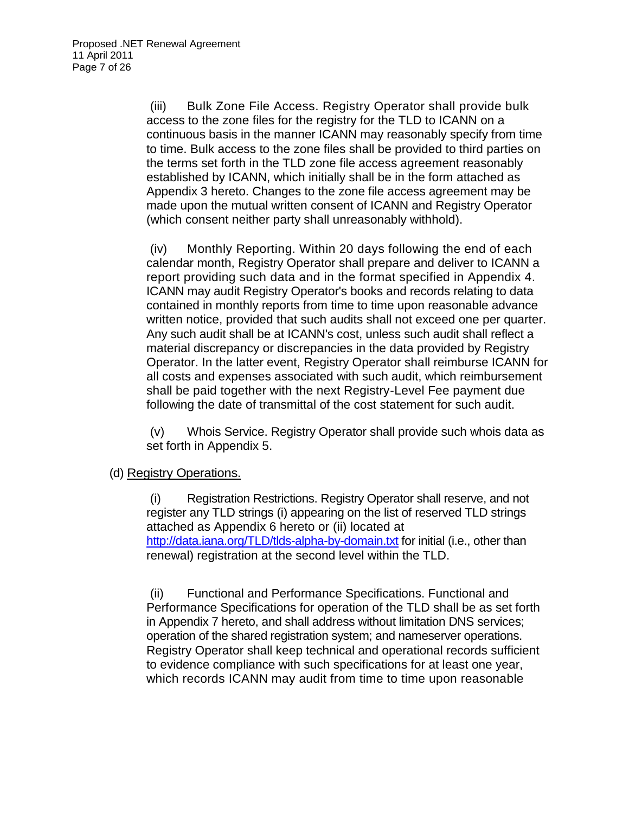(iii) Bulk Zone File Access. Registry Operator shall provide bulk access to the zone files for the registry for the TLD to ICANN on a continuous basis in the manner ICANN may reasonably specify from time to time. Bulk access to the zone files shall be provided to third parties on the terms set forth in the TLD zone file access agreement reasonably established by ICANN, which initially shall be in the form attached as Appendix 3 hereto. Changes to the zone file access agreement may be made upon the mutual written consent of ICANN and Registry Operator (which consent neither party shall unreasonably withhold).

(iv) Monthly Reporting. Within 20 days following the end of each calendar month, Registry Operator shall prepare and deliver to ICANN a report providing such data and in the format specified in Appendix 4. ICANN may audit Registry Operator's books and records relating to data contained in monthly reports from time to time upon reasonable advance written notice, provided that such audits shall not exceed one per quarter. Any such audit shall be at ICANN's cost, unless such audit shall reflect a material discrepancy or discrepancies in the data provided by Registry Operator. In the latter event, Registry Operator shall reimburse ICANN for all costs and expenses associated with such audit, which reimbursement shall be paid together with the next Registry-Level Fee payment due following the date of transmittal of the cost statement for such audit.

(v) Whois Service. Registry Operator shall provide such whois data as set forth in Appendix 5.

#### (d) Registry Operations.

(i) Registration Restrictions. Registry Operator shall reserve, and not register any TLD strings (i) appearing on the list of reserved TLD strings attached as Appendix 6 hereto or (ii) located at <http://data.iana.org/TLD/tlds-alpha-by-domain.txt> for initial (i.e., other than renewal) registration at the second level within the TLD.

(ii) Functional and Performance Specifications. Functional and Performance Specifications for operation of the TLD shall be as set forth in Appendix 7 hereto, and shall address without limitation DNS services; operation of the shared registration system; and nameserver operations. Registry Operator shall keep technical and operational records sufficient to evidence compliance with such specifications for at least one year, which records ICANN may audit from time to time upon reasonable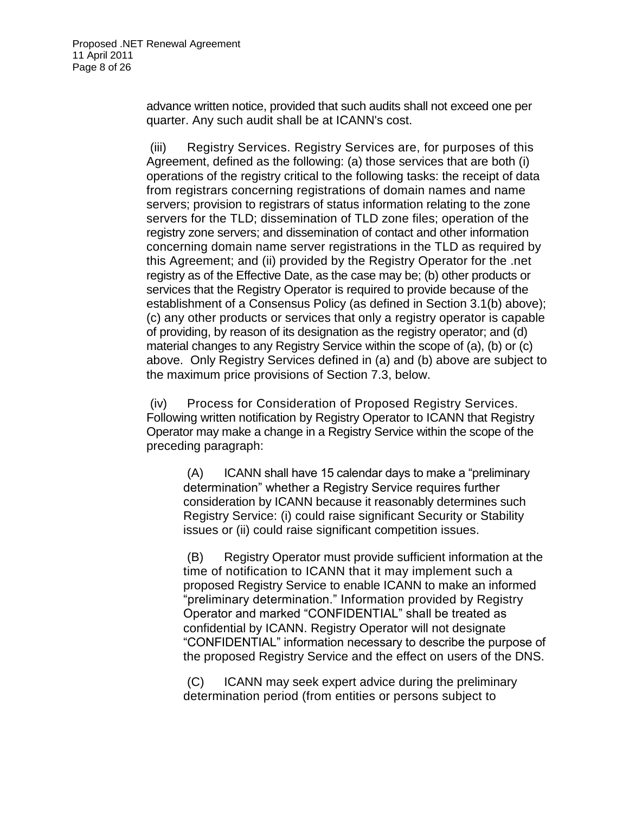advance written notice, provided that such audits shall not exceed one per quarter. Any such audit shall be at ICANN's cost.

(iii) Registry Services. Registry Services are, for purposes of this Agreement, defined as the following: (a) those services that are both (i) operations of the registry critical to the following tasks: the receipt of data from registrars concerning registrations of domain names and name servers; provision to registrars of status information relating to the zone servers for the TLD; dissemination of TLD zone files; operation of the registry zone servers; and dissemination of contact and other information concerning domain name server registrations in the TLD as required by this Agreement; and (ii) provided by the Registry Operator for the .net registry as of the Effective Date, as the case may be; (b) other products or services that the Registry Operator is required to provide because of the establishment of a Consensus Policy (as defined in Section 3.1(b) above); (c) any other products or services that only a registry operator is capable of providing, by reason of its designation as the registry operator; and (d) material changes to any Registry Service within the scope of (a), (b) or (c) above. Only Registry Services defined in (a) and (b) above are subject to the maximum price provisions of Section 7.3, below.

(iv) Process for Consideration of Proposed Registry Services. Following written notification by Registry Operator to ICANN that Registry Operator may make a change in a Registry Service within the scope of the preceding paragraph:

(A) ICANN shall have 15 calendar days to make a "preliminary determination" whether a Registry Service requires further consideration by ICANN because it reasonably determines such Registry Service: (i) could raise significant Security or Stability issues or (ii) could raise significant competition issues.

(B) Registry Operator must provide sufficient information at the time of notification to ICANN that it may implement such a proposed Registry Service to enable ICANN to make an informed "preliminary determination." Information provided by Registry Operator and marked "CONFIDENTIAL" shall be treated as confidential by ICANN. Registry Operator will not designate "CONFIDENTIAL" information necessary to describe the purpose of the proposed Registry Service and the effect on users of the DNS.

(C) ICANN may seek expert advice during the preliminary determination period (from entities or persons subject to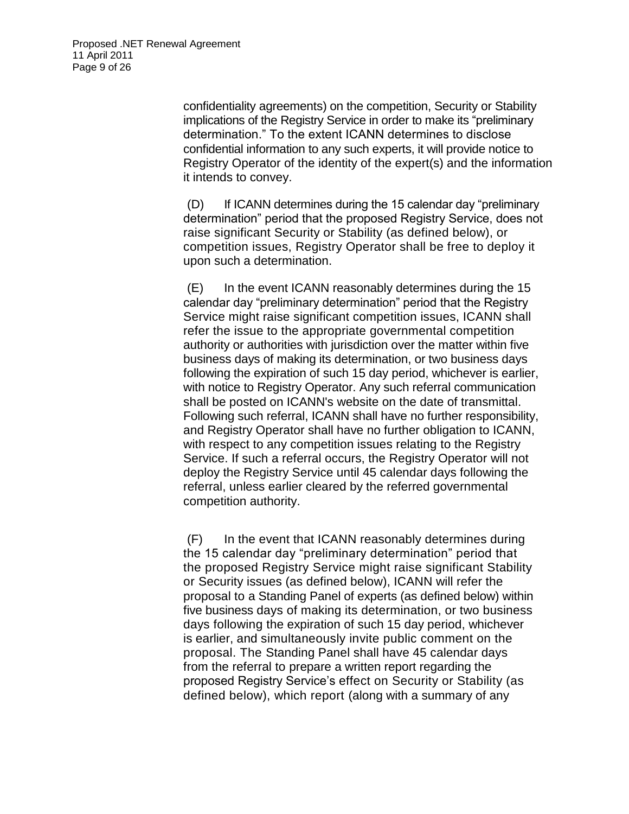confidentiality agreements) on the competition, Security or Stability implications of the Registry Service in order to make its "preliminary determination." To the extent ICANN determines to disclose confidential information to any such experts, it will provide notice to Registry Operator of the identity of the expert(s) and the information it intends to convey.

(D) If ICANN determines during the 15 calendar day "preliminary determination" period that the proposed Registry Service, does not raise significant Security or Stability (as defined below), or competition issues, Registry Operator shall be free to deploy it upon such a determination.

(E) In the event ICANN reasonably determines during the 15 calendar day "preliminary determination" period that the Registry Service might raise significant competition issues, ICANN shall refer the issue to the appropriate governmental competition authority or authorities with jurisdiction over the matter within five business days of making its determination, or two business days following the expiration of such 15 day period, whichever is earlier, with notice to Registry Operator. Any such referral communication shall be posted on ICANN's website on the date of transmittal. Following such referral, ICANN shall have no further responsibility, and Registry Operator shall have no further obligation to ICANN, with respect to any competition issues relating to the Registry Service. If such a referral occurs, the Registry Operator will not deploy the Registry Service until 45 calendar days following the referral, unless earlier cleared by the referred governmental competition authority.

(F) In the event that ICANN reasonably determines during the 15 calendar day "preliminary determination" period that the proposed Registry Service might raise significant Stability or Security issues (as defined below), ICANN will refer the proposal to a Standing Panel of experts (as defined below) within five business days of making its determination, or two business days following the expiration of such 15 day period, whichever is earlier, and simultaneously invite public comment on the proposal. The Standing Panel shall have 45 calendar days from the referral to prepare a written report regarding the proposed Registry Service's effect on Security or Stability (as defined below), which report (along with a summary of any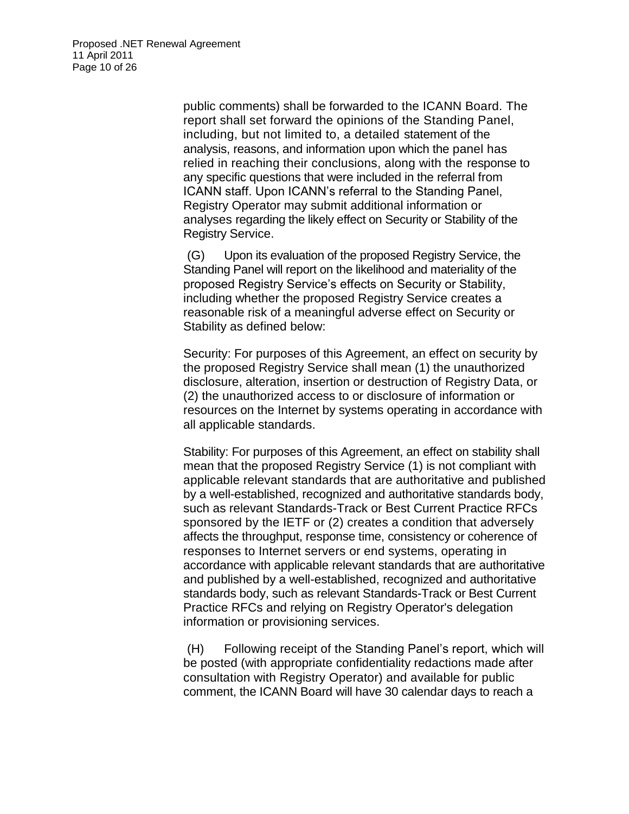public comments) shall be forwarded to the ICANN Board. The report shall set forward the opinions of the Standing Panel, including, but not limited to, a detailed statement of the analysis, reasons, and information upon which the panel has relied in reaching their conclusions, along with the response to any specific questions that were included in the referral from ICANN staff. Upon ICANN's referral to the Standing Panel, Registry Operator may submit additional information or analyses regarding the likely effect on Security or Stability of the Registry Service.

(G) Upon its evaluation of the proposed Registry Service, the Standing Panel will report on the likelihood and materiality of the proposed Registry Service's effects on Security or Stability, including whether the proposed Registry Service creates a reasonable risk of a meaningful adverse effect on Security or Stability as defined below:

Security: For purposes of this Agreement, an effect on security by the proposed Registry Service shall mean (1) the unauthorized disclosure, alteration, insertion or destruction of Registry Data, or (2) the unauthorized access to or disclosure of information or resources on the Internet by systems operating in accordance with all applicable standards.

Stability: For purposes of this Agreement, an effect on stability shall mean that the proposed Registry Service (1) is not compliant with applicable relevant standards that are authoritative and published by a well-established, recognized and authoritative standards body, such as relevant Standards-Track or Best Current Practice RFCs sponsored by the IETF or (2) creates a condition that adversely affects the throughput, response time, consistency or coherence of responses to Internet servers or end systems, operating in accordance with applicable relevant standards that are authoritative and published by a well-established, recognized and authoritative standards body, such as relevant Standards-Track or Best Current Practice RFCs and relying on Registry Operator's delegation information or provisioning services.

(H) Following receipt of the Standing Panel's report, which will be posted (with appropriate confidentiality redactions made after consultation with Registry Operator) and available for public comment, the ICANN Board will have 30 calendar days to reach a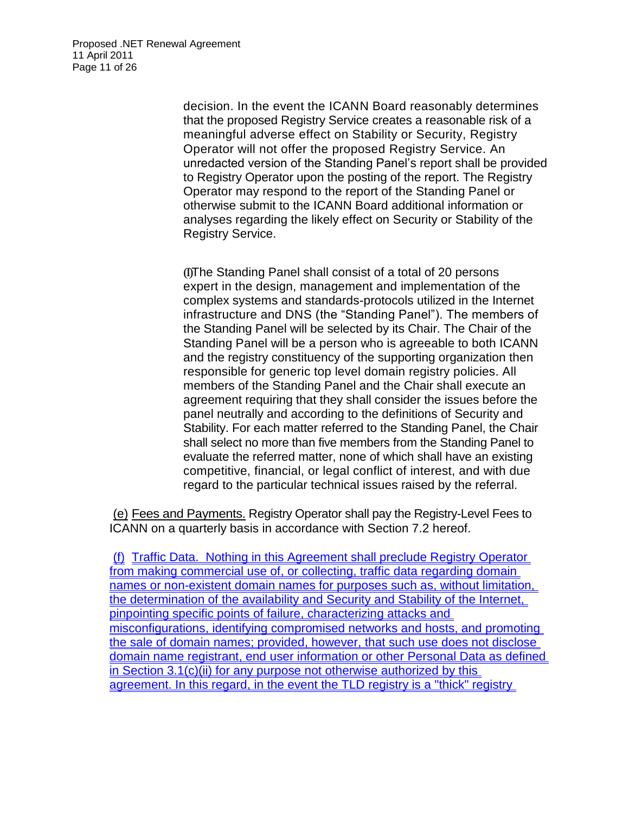decision. In the event the ICANN Board reasonably determines that the proposed Registry Service creates a reasonable risk of a meaningful adverse effect on Stability or Security, Registry Operator will not offer the proposed Registry Service. An unredacted version of the Standing Panel's report shall be provided to Registry Operator upon the posting of the report. The Registry Operator may respond to the report of the Standing Panel or otherwise submit to the ICANN Board additional information or analyses regarding the likely effect on Security or Stability of the Registry Service.

(I)The Standing Panel shall consist of a total of 20 persons expert in the design, management and implementation of the complex systems and standards-protocols utilized in the Internet infrastructure and DNS (the "Standing Panel"). The members of the Standing Panel will be selected by its Chair. The Chair of the Standing Panel will be a person who is agreeable to both ICANN and the registry constituency of the supporting organization then responsible for generic top level domain registry policies. All members of the Standing Panel and the Chair shall execute an agreement requiring that they shall consider the issues before the panel neutrally and according to the definitions of Security and Stability. For each matter referred to the Standing Panel, the Chair shall select no more than five members from the Standing Panel to evaluate the referred matter, none of which shall have an existing competitive, financial, or legal conflict of interest, and with due regard to the particular technical issues raised by the referral.

(e) Fees and Payments. Registry Operator shall pay the Registry-Level Fees to ICANN on a quarterly basis in accordance with Section 7.2 hereof.

(f) Traffic Data. Nothing in this Agreement shall preclude Registry Operator from making commercial use of, or collecting, traffic data regarding domain names or non-existent domain names for purposes such as, without limitation, the determination of the availability and Security and Stability of the Internet, pinpointing specific points of failure, characterizing attacks and misconfigurations, identifying compromised networks and hosts, and promoting the sale of domain names; provided, however, that such use does not disclose domain name registrant, end user information or other Personal Data as defined in Section 3.1(c)(ii) for any purpose not otherwise authorized by this agreement. In this regard, in the event the TLD registry is a "thick" registry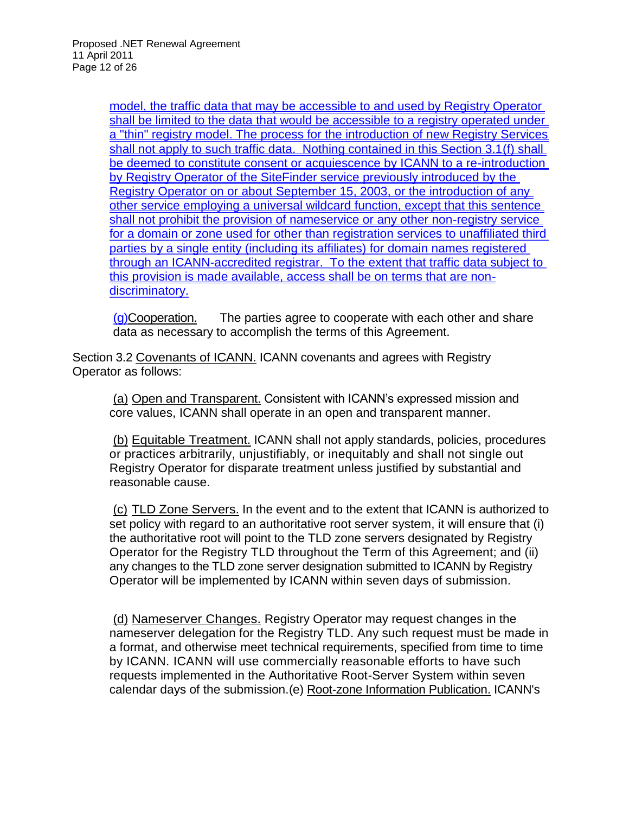model, the traffic data that may be accessible to and used by Registry Operator shall be limited to the data that would be accessible to a registry operated under a "thin" registry model. The process for the introduction of new Registry Services shall not apply to such traffic data. Nothing contained in this Section 3.1(f) shall be deemed to constitute consent or acquiescence by ICANN to a re-introduction by Registry Operator of the SiteFinder service previously introduced by the Registry Operator on or about September 15, 2003, or the introduction of any other service employing a universal wildcard function, except that this sentence shall not prohibit the provision of nameservice or any other non-registry service for a domain or zone used for other than registration services to unaffiliated third parties by a single entity (including its affiliates) for domain names registered through an ICANN-accredited registrar. To the extent that traffic data subject to this provision is made available, access shall be on terms that are nondiscriminatory.

(g)Cooperation. The parties agree to cooperate with each other and share data as necessary to accomplish the terms of this Agreement.

Section 3.2 Covenants of ICANN. ICANN covenants and agrees with Registry Operator as follows:

(a) Open and Transparent. Consistent with ICANN's expressed mission and core values, ICANN shall operate in an open and transparent manner.

(b) Equitable Treatment. ICANN shall not apply standards, policies, procedures or practices arbitrarily, unjustifiably, or inequitably and shall not single out Registry Operator for disparate treatment unless justified by substantial and reasonable cause.

(c) TLD Zone Servers. In the event and to the extent that ICANN is authorized to set policy with regard to an authoritative root server system, it will ensure that (i) the authoritative root will point to the TLD zone servers designated by Registry Operator for the Registry TLD throughout the Term of this Agreement; and (ii) any changes to the TLD zone server designation submitted to ICANN by Registry Operator will be implemented by ICANN within seven days of submission.

(d) Nameserver Changes. Registry Operator may request changes in the nameserver delegation for the Registry TLD. Any such request must be made in a format, and otherwise meet technical requirements, specified from time to time by ICANN. ICANN will use commercially reasonable efforts to have such requests implemented in the Authoritative Root-Server System within seven calendar days of the submission.(e) Root-zone Information Publication. ICANN's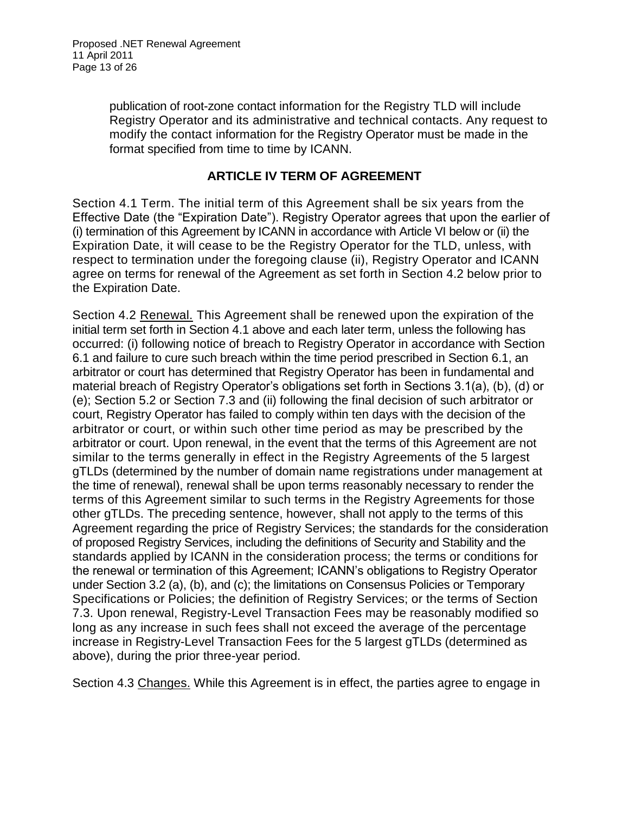publication of root-zone contact information for the Registry TLD will include Registry Operator and its administrative and technical contacts. Any request to modify the contact information for the Registry Operator must be made in the format specified from time to time by ICANN.

#### **ARTICLE IV TERM OF AGREEMENT**

Section 4.1 Term. The initial term of this Agreement shall be six years from the Effective Date (the "Expiration Date"). Registry Operator agrees that upon the earlier of (i) termination of this Agreement by ICANN in accordance with Article VI below or (ii) the Expiration Date, it will cease to be the Registry Operator for the TLD, unless, with respect to termination under the foregoing clause (ii), Registry Operator and ICANN agree on terms for renewal of the Agreement as set forth in Section 4.2 below prior to the Expiration Date.

Section 4.2 Renewal. This Agreement shall be renewed upon the expiration of the initial term set forth in Section 4.1 above and each later term, unless the following has occurred: (i) following notice of breach to Registry Operator in accordance with Section 6.1 and failure to cure such breach within the time period prescribed in Section 6.1, an arbitrator or court has determined that Registry Operator has been in fundamental and material breach of Registry Operator's obligations set forth in Sections 3.1(a), (b), (d) or (e); Section 5.2 or Section 7.3 and (ii) following the final decision of such arbitrator or court, Registry Operator has failed to comply within ten days with the decision of the arbitrator or court, or within such other time period as may be prescribed by the arbitrator or court. Upon renewal, in the event that the terms of this Agreement are not similar to the terms generally in effect in the Registry Agreements of the 5 largest gTLDs (determined by the number of domain name registrations under management at the time of renewal), renewal shall be upon terms reasonably necessary to render the terms of this Agreement similar to such terms in the Registry Agreements for those other gTLDs. The preceding sentence, however, shall not apply to the terms of this Agreement regarding the price of Registry Services; the standards for the consideration of proposed Registry Services, including the definitions of Security and Stability and the standards applied by ICANN in the consideration process; the terms or conditions for the renewal or termination of this Agreement; ICANN's obligations to Registry Operator under Section 3.2 (a), (b), and (c); the limitations on Consensus Policies or Temporary Specifications or Policies; the definition of Registry Services; or the terms of Section 7.3. Upon renewal, Registry-Level Transaction Fees may be reasonably modified so long as any increase in such fees shall not exceed the average of the percentage increase in Registry-Level Transaction Fees for the 5 largest gTLDs (determined as above), during the prior three-year period.

Section 4.3 Changes. While this Agreement is in effect, the parties agree to engage in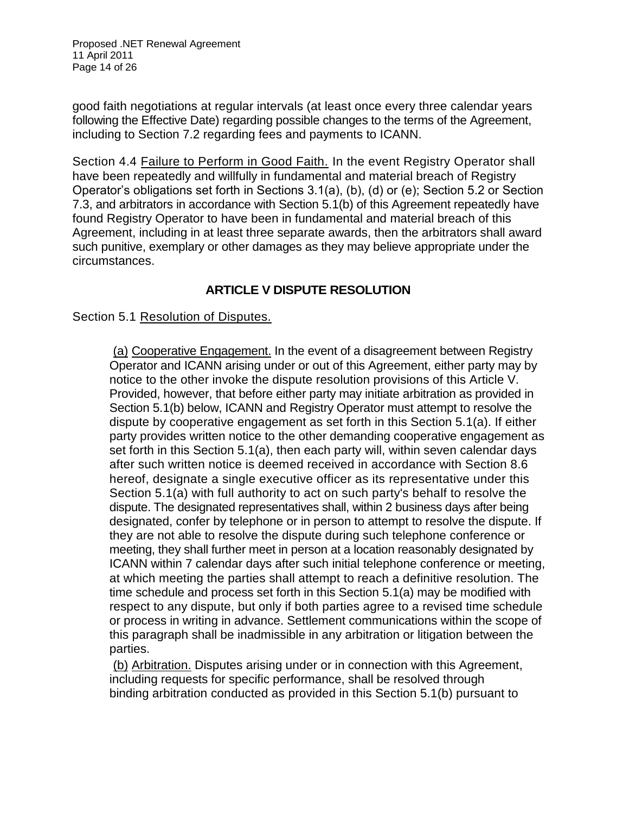Proposed .NET Renewal Agreement 11 April 2011 Page 14 of 26

good faith negotiations at regular intervals (at least once every three calendar years following the Effective Date) regarding possible changes to the terms of the Agreement, including to Section 7.2 regarding fees and payments to ICANN.

Section 4.4 Failure to Perform in Good Faith. In the event Registry Operator shall have been repeatedly and willfully in fundamental and material breach of Registry Operator's obligations set forth in Sections 3.1(a), (b), (d) or (e); Section 5.2 or Section 7.3, and arbitrators in accordance with Section 5.1(b) of this Agreement repeatedly have found Registry Operator to have been in fundamental and material breach of this Agreement, including in at least three separate awards, then the arbitrators shall award such punitive, exemplary or other damages as they may believe appropriate under the circumstances.

## **ARTICLE V DISPUTE RESOLUTION**

Section 5.1 Resolution of Disputes.

(a) Cooperative Engagement. In the event of a disagreement between Registry Operator and ICANN arising under or out of this Agreement, either party may by notice to the other invoke the dispute resolution provisions of this Article V. Provided, however, that before either party may initiate arbitration as provided in Section 5.1(b) below, ICANN and Registry Operator must attempt to resolve the dispute by cooperative engagement as set forth in this Section 5.1(a). If either party provides written notice to the other demanding cooperative engagement as set forth in this Section 5.1(a), then each party will, within seven calendar days after such written notice is deemed received in accordance with Section 8.6 hereof, designate a single executive officer as its representative under this Section 5.1(a) with full authority to act on such party's behalf to resolve the dispute. The designated representatives shall, within 2 business days after being designated, confer by telephone or in person to attempt to resolve the dispute. If they are not able to resolve the dispute during such telephone conference or meeting, they shall further meet in person at a location reasonably designated by ICANN within 7 calendar days after such initial telephone conference or meeting, at which meeting the parties shall attempt to reach a definitive resolution. The time schedule and process set forth in this Section 5.1(a) may be modified with respect to any dispute, but only if both parties agree to a revised time schedule or process in writing in advance. Settlement communications within the scope of this paragraph shall be inadmissible in any arbitration or litigation between the parties.

(b) Arbitration. Disputes arising under or in connection with this Agreement, including requests for specific performance, shall be resolved through binding arbitration conducted as provided in this Section 5.1(b) pursuant to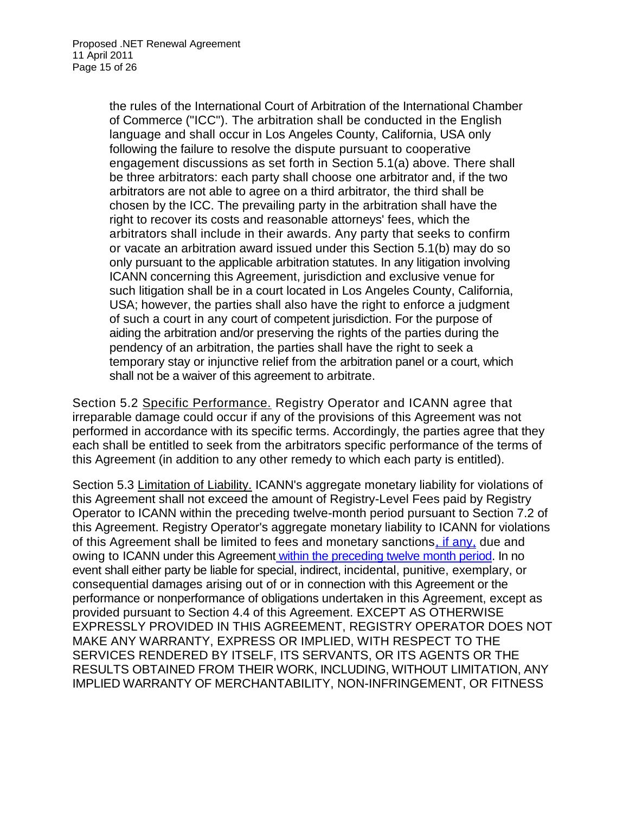the rules of the International Court of Arbitration of the International Chamber of Commerce ("ICC"). The arbitration shall be conducted in the English language and shall occur in Los Angeles County, California, USA only following the failure to resolve the dispute pursuant to cooperative engagement discussions as set forth in Section 5.1(a) above. There shall be three arbitrators: each party shall choose one arbitrator and, if the two arbitrators are not able to agree on a third arbitrator, the third shall be chosen by the ICC. The prevailing party in the arbitration shall have the right to recover its costs and reasonable attorneys' fees, which the arbitrators shall include in their awards. Any party that seeks to confirm or vacate an arbitration award issued under this Section 5.1(b) may do so only pursuant to the applicable arbitration statutes. In any litigation involving ICANN concerning this Agreement, jurisdiction and exclusive venue for such litigation shall be in a court located in Los Angeles County, California, USA; however, the parties shall also have the right to enforce a judgment of such a court in any court of competent jurisdiction. For the purpose of aiding the arbitration and/or preserving the rights of the parties during the pendency of an arbitration, the parties shall have the right to seek a temporary stay or injunctive relief from the arbitration panel or a court, which shall not be a waiver of this agreement to arbitrate.

Section 5.2 Specific Performance. Registry Operator and ICANN agree that irreparable damage could occur if any of the provisions of this Agreement was not performed in accordance with its specific terms. Accordingly, the parties agree that they each shall be entitled to seek from the arbitrators specific performance of the terms of this Agreement (in addition to any other remedy to which each party is entitled).

Section 5.3 Limitation of Liability. ICANN's aggregate monetary liability for violations of this Agreement shall not exceed the amount of Registry-Level Fees paid by Registry Operator to ICANN within the preceding twelve-month period pursuant to Section 7.2 of this Agreement. Registry Operator's aggregate monetary liability to ICANN for violations of this Agreement shall be limited to fees and monetary sanctions, if any, due and owing to ICANN under this Agreement within the preceding twelve month period. In no event shall either party be liable for special, indirect, incidental, punitive, exemplary, or consequential damages arising out of or in connection with this Agreement or the performance or nonperformance of obligations undertaken in this Agreement, except as provided pursuant to Section 4.4 of this Agreement. EXCEPT AS OTHERWISE EXPRESSLY PROVIDED IN THIS AGREEMENT, REGISTRY OPERATOR DOES NOT MAKE ANY WARRANTY, EXPRESS OR IMPLIED, WITH RESPECT TO THE SERVICES RENDERED BY ITSELF, ITS SERVANTS, OR ITS AGENTS OR THE RESULTS OBTAINED FROM THEIR WORK, INCLUDING, WITHOUT LIMITATION, ANY IMPLIED WARRANTY OF MERCHANTABILITY, NON-INFRINGEMENT, OR FITNESS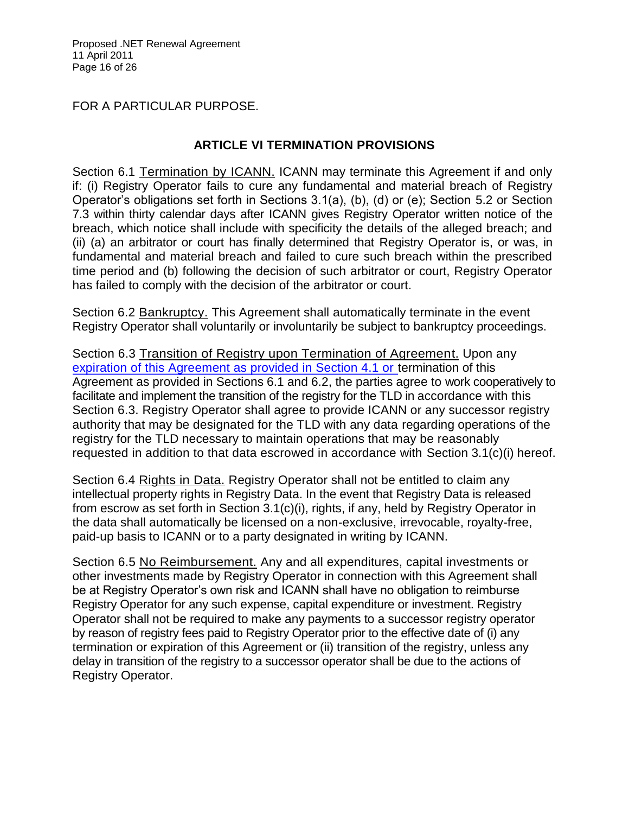#### FOR A PARTICULAR PURPOSE.

#### **ARTICLE VI TERMINATION PROVISIONS**

Section 6.1 Termination by ICANN. ICANN may terminate this Agreement if and only if: (i) Registry Operator fails to cure any fundamental and material breach of Registry Operator's obligations set forth in Sections 3.1(a), (b), (d) or (e); Section 5.2 or Section 7.3 within thirty calendar days after ICANN gives Registry Operator written notice of the breach, which notice shall include with specificity the details of the alleged breach; and (ii) (a) an arbitrator or court has finally determined that Registry Operator is, or was, in fundamental and material breach and failed to cure such breach within the prescribed time period and (b) following the decision of such arbitrator or court, Registry Operator has failed to comply with the decision of the arbitrator or court.

Section 6.2 Bankruptcy. This Agreement shall automatically terminate in the event Registry Operator shall voluntarily or involuntarily be subject to bankruptcy proceedings.

Section 6.3 Transition of Registry upon Termination of Agreement. Upon any expiration of this Agreement as provided in Section 4.1 or termination of this Agreement as provided in Sections 6.1 and 6.2, the parties agree to work cooperatively to facilitate and implement the transition of the registry for the TLD in accordance with this Section 6.3. Registry Operator shall agree to provide ICANN or any successor registry authority that may be designated for the TLD with any data regarding operations of the registry for the TLD necessary to maintain operations that may be reasonably requested in addition to that data escrowed in accordance with Section 3.1(c)(i) hereof.

Section 6.4 Rights in Data. Registry Operator shall not be entitled to claim any intellectual property rights in Registry Data. In the event that Registry Data is released from escrow as set forth in Section 3.1(c)(i), rights, if any, held by Registry Operator in the data shall automatically be licensed on a non-exclusive, irrevocable, royalty-free, paid-up basis to ICANN or to a party designated in writing by ICANN.

Section 6.5 No Reimbursement. Any and all expenditures, capital investments or other investments made by Registry Operator in connection with this Agreement shall be at Registry Operator's own risk and ICANN shall have no obligation to reimburse Registry Operator for any such expense, capital expenditure or investment. Registry Operator shall not be required to make any payments to a successor registry operator by reason of registry fees paid to Registry Operator prior to the effective date of (i) any termination or expiration of this Agreement or (ii) transition of the registry, unless any delay in transition of the registry to a successor operator shall be due to the actions of Registry Operator.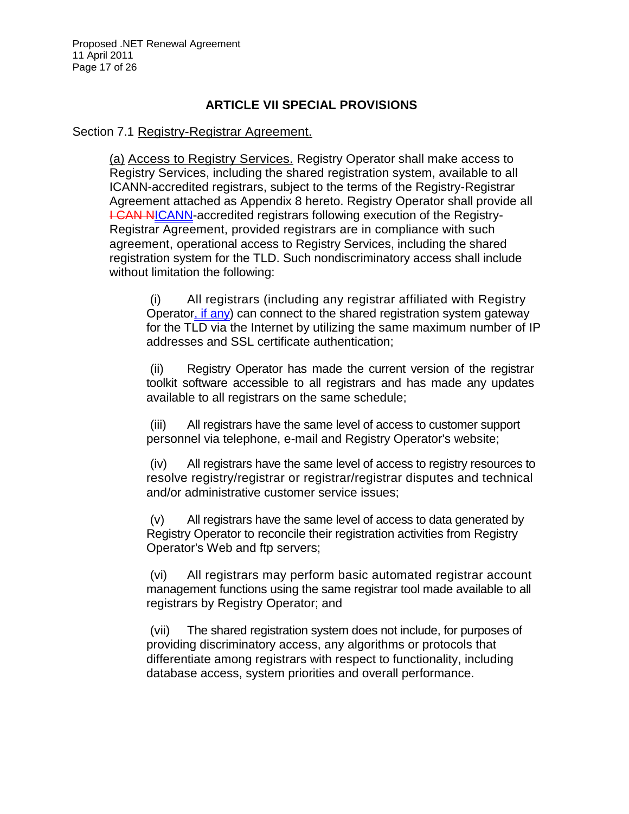Proposed .NET Renewal Agreement 11 April 2011 Page 17 of 26

#### **ARTICLE VII SPECIAL PROVISIONS**

Section 7.1 Registry-Registrar Agreement.

(a) Access to Registry Services. Registry Operator shall make access to Registry Services, including the shared registration system, available to all ICANN-accredited registrars, subject to the terms of the Registry-Registrar Agreement attached as Appendix 8 hereto. Registry Operator shall provide all **I CAN NICANN-accredited registrars following execution of the Registry-**Registrar Agreement, provided registrars are in compliance with such agreement, operational access to Registry Services, including the shared registration system for the TLD. Such nondiscriminatory access shall include without limitation the following:

(i) All registrars (including any registrar affiliated with Registry Operator, if any) can connect to the shared registration system gateway for the TLD via the Internet by utilizing the same maximum number of IP addresses and SSL certificate authentication;

(ii) Registry Operator has made the current version of the registrar toolkit software accessible to all registrars and has made any updates available to all registrars on the same schedule;

(iii) All registrars have the same level of access to customer support personnel via telephone, e-mail and Registry Operator's website;

(iv) All registrars have the same level of access to registry resources to resolve registry/registrar or registrar/registrar disputes and technical and/or administrative customer service issues;

(v) All registrars have the same level of access to data generated by Registry Operator to reconcile their registration activities from Registry Operator's Web and ftp servers;

(vi) All registrars may perform basic automated registrar account management functions using the same registrar tool made available to all registrars by Registry Operator; and

(vii) The shared registration system does not include, for purposes of providing discriminatory access, any algorithms or protocols that differentiate among registrars with respect to functionality, including database access, system priorities and overall performance.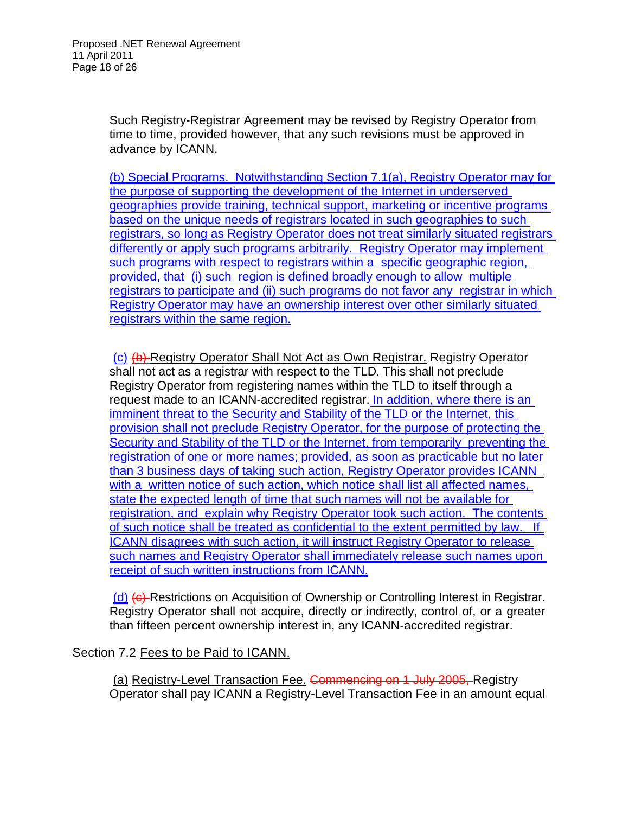Such Registry-Registrar Agreement may be revised by Registry Operator from time to time, provided however, that any such revisions must be approved in advance by ICANN.

(b) Special Programs. Notwithstanding Section 7.1(a), Registry Operator may for the purpose of supporting the development of the Internet in underserved geographies provide training, technical support, marketing or incentive programs based on the unique needs of registrars located in such geographies to such registrars, so long as Registry Operator does not treat similarly situated registrars differently or apply such programs arbitrarily. Registry Operator may implement such programs with respect to registrars within a specific geographic region, provided, that (i) such region is defined broadly enough to allow multiple registrars to participate and (ii) such programs do not favor any registrar in which Registry Operator may have an ownership interest over other similarly situated registrars within the same region.

(c) (b) Registry Operator Shall Not Act as Own Registrar. Registry Operator shall not act as a registrar with respect to the TLD. This shall not preclude Registry Operator from registering names within the TLD to itself through a request made to an ICANN-accredited registrar. In addition, where there is an imminent threat to the Security and Stability of the TLD or the Internet, this provision shall not preclude Registry Operator, for the purpose of protecting the Security and Stability of the TLD or the Internet, from temporarily preventing the registration of one or more names; provided, as soon as practicable but no later than 3 business days of taking such action, Registry Operator provides ICANN with a written notice of such action, which notice shall list all affected names, state the expected length of time that such names will not be available for registration, and explain why Registry Operator took such action. The contents of such notice shall be treated as confidential to the extent permitted by law. If ICANN disagrees with such action, it will instruct Registry Operator to release such names and Registry Operator shall immediately release such names upon receipt of such written instructions from ICANN.

(d) (e) Restrictions on Acquisition of Ownership or Controlling Interest in Registrar. Registry Operator shall not acquire, directly or indirectly, control of, or a greater than fifteen percent ownership interest in, any ICANN-accredited registrar.

Section 7.2 Fees to be Paid to ICANN.

(a) Registry-Level Transaction Fee. Commencing on 1 July 2005, Registry Operator shall pay ICANN a Registry-Level Transaction Fee in an amount equal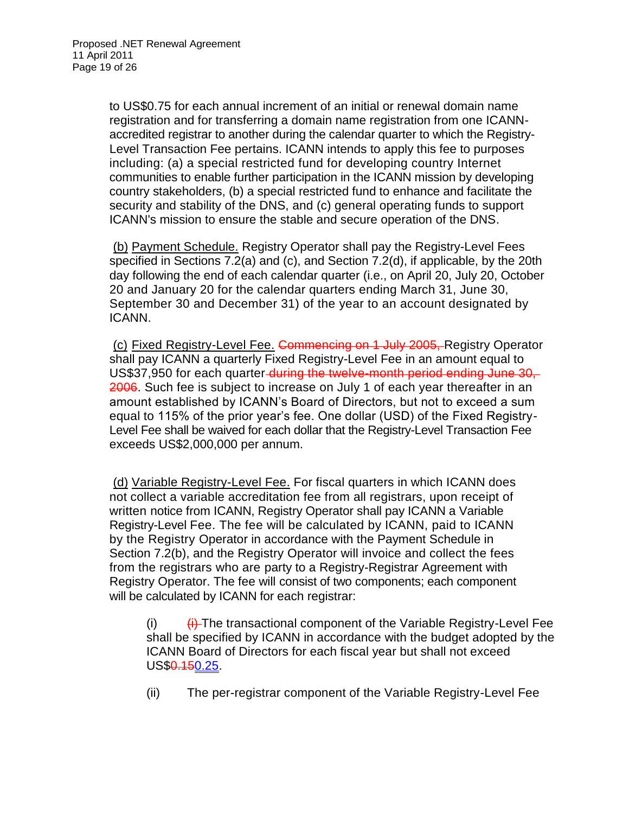to US\$0.75 for each annual increment of an initial or renewal domain name registration and for transferring a domain name registration from one ICANNaccredited registrar to another during the calendar quarter to which the Registry-Level Transaction Fee pertains. ICANN intends to apply this fee to purposes including: (a) a special restricted fund for developing country Internet communities to enable further participation in the ICANN mission by developing country stakeholders, (b) a special restricted fund to enhance and facilitate the security and stability of the DNS, and (c) general operating funds to support ICANN's mission to ensure the stable and secure operation of the DNS.

(b) Payment Schedule. Registry Operator shall pay the Registry-Level Fees specified in Sections 7.2(a) and (c), and Section 7.2(d), if applicable, by the 20th day following the end of each calendar quarter (i.e., on April 20, July 20, October 20 and January 20 for the calendar quarters ending March 31, June 30, September 30 and December 31) of the year to an account designated by ICANN.

(c) Fixed Registry-Level Fee. Commencing on 1 July 2005, Registry Operator shall pay ICANN a quarterly Fixed Registry-Level Fee in an amount equal to US\$37,950 for each quarter-during the twelve-month period ending June 30, 2006. Such fee is subject to increase on July 1 of each year thereafter in an amount established by ICANN's Board of Directors, but not to exceed a sum equal to 115% of the prior year's fee. One dollar (USD) of the Fixed Registry-Level Fee shall be waived for each dollar that the Registry-Level Transaction Fee exceeds US\$2,000,000 per annum.

(d) Variable Registry-Level Fee. For fiscal quarters in which ICANN does not collect a variable accreditation fee from all registrars, upon receipt of written notice from ICANN, Registry Operator shall pay ICANN a Variable Registry-Level Fee. The fee will be calculated by ICANN, paid to ICANN by the Registry Operator in accordance with the Payment Schedule in Section 7.2(b), and the Registry Operator will invoice and collect the fees from the registrars who are party to a Registry-Registrar Agreement with Registry Operator. The fee will consist of two components; each component will be calculated by ICANN for each registrar:

(i)  $\left\langle i\right\rangle$  The transactional component of the Variable Registry-Level Fee shall be specified by ICANN in accordance with the budget adopted by the ICANN Board of Directors for each fiscal year but shall not exceed US\$<del>0.15</del>0.25.

(ii) The per-registrar component of the Variable Registry-Level Fee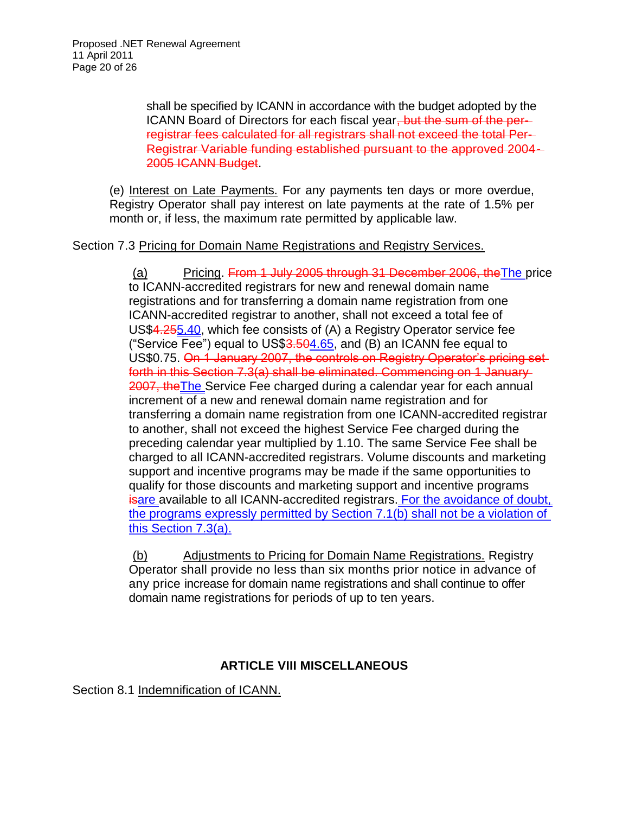shall be specified by ICANN in accordance with the budget adopted by the ICANN Board of Directors for each fiscal year, but the sum of the perregistrar fees calculated for all registrars shall not exceed the total Per-Registrar Variable funding established pursuant to the approved 2004- 2005 ICANN Budget.

(e) Interest on Late Payments. For any payments ten days or more overdue, Registry Operator shall pay interest on late payments at the rate of 1.5% per month or, if less, the maximum rate permitted by applicable law.

#### Section 7.3 Pricing for Domain Name Registrations and Registry Services.

(a) Pricing. From 1 July 2005 through 31 December 2006, theThe price to ICANN-accredited registrars for new and renewal domain name registrations and for transferring a domain name registration from one ICANN-accredited registrar to another, shall not exceed a total fee of US\$4.255.40, which fee consists of (A) a Registry Operator service fee ("Service Fee") equal to US\$3.504.65, and (B) an ICANN fee equal to US\$0.75. On 1 January 2007, the controls on Registry Operator's pricing set forth in this Section 7.3(a) shall be eliminated. Commencing on 1 January 2007, the The Service Fee charged during a calendar year for each annual increment of a new and renewal domain name registration and for transferring a domain name registration from one ICANN-accredited registrar to another, shall not exceed the highest Service Fee charged during the preceding calendar year multiplied by 1.10. The same Service Fee shall be charged to all ICANN-accredited registrars. Volume discounts and marketing support and incentive programs may be made if the same opportunities to qualify for those discounts and marketing support and incentive programs **isare available to all ICANN-accredited registrars. For the avoidance of doubt,** the programs expressly permitted by Section 7.1(b) shall not be a violation of this Section 7.3(a).

(b) Adjustments to Pricing for Domain Name Registrations. Registry Operator shall provide no less than six months prior notice in advance of any price increase for domain name registrations and shall continue to offer domain name registrations for periods of up to ten years.

#### **ARTICLE VIII MISCELLANEOUS**

Section 8.1 Indemnification of ICANN.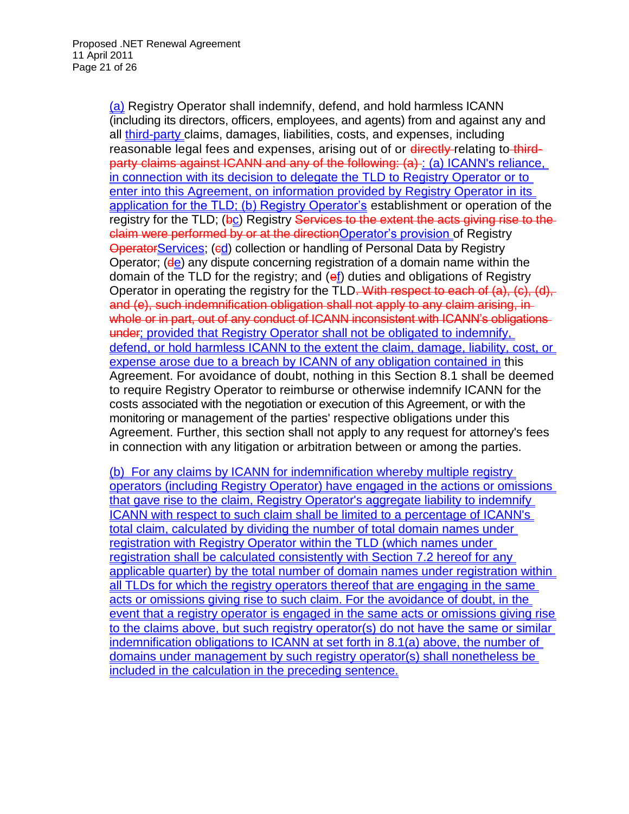(a) Registry Operator shall indemnify, defend, and hold harmless ICANN (including its directors, officers, employees, and agents) from and against any and all third-party claims, damages, liabilities, costs, and expenses, including reasonable legal fees and expenses, arising out of or directly relating to thirdparty claims against ICANN and any of the following: (a) : (a) ICANN's reliance, in connection with its decision to delegate the TLD to Registry Operator or to enter into this Agreement, on information provided by Registry Operator in its application for the TLD; (b) Registry Operator's establishment or operation of the registry for the TLD;  $(bc)$  Registry Services to the extent the acts giving rise to the claim were performed by or at the directionOperator's provision of Registry **OperatorServices; (ed) collection or handling of Personal Data by Registry** Operator; (de) any dispute concerning registration of a domain name within the domain of the TLD for the registry; and  $(ef)$  duties and obligations of Registry Operator in operating the registry for the TLD. With respect to each of (a), (c), (d), and (e), such indemnification obligation shall not apply to any claim arising, in whole or in part, out of any conduct of ICANN inconsistent with ICANN's obligations under; provided that Registry Operator shall not be obligated to indemnify, defend, or hold harmless ICANN to the extent the claim, damage, liability, cost, or expense arose due to a breach by ICANN of any obligation contained in this Agreement. For avoidance of doubt, nothing in this Section 8.1 shall be deemed to require Registry Operator to reimburse or otherwise indemnify ICANN for the costs associated with the negotiation or execution of this Agreement, or with the monitoring or management of the parties' respective obligations under this Agreement. Further, this section shall not apply to any request for attorney's fees in connection with any litigation or arbitration between or among the parties.

(b) For any claims by ICANN for indemnification whereby multiple registry operators (including Registry Operator) have engaged in the actions or omissions that gave rise to the claim, Registry Operator's aggregate liability to indemnify ICANN with respect to such claim shall be limited to a percentage of ICANN's total claim, calculated by dividing the number of total domain names under registration with Registry Operator within the TLD (which names under registration shall be calculated consistently with Section 7.2 hereof for any applicable quarter) by the total number of domain names under registration within all TLDs for which the registry operators thereof that are engaging in the same acts or omissions giving rise to such claim. For the avoidance of doubt, in the event that a registry operator is engaged in the same acts or omissions giving rise to the claims above, but such registry operator(s) do not have the same or similar indemnification obligations to ICANN at set forth in 8.1(a) above, the number of domains under management by such registry operator(s) shall nonetheless be included in the calculation in the preceding sentence.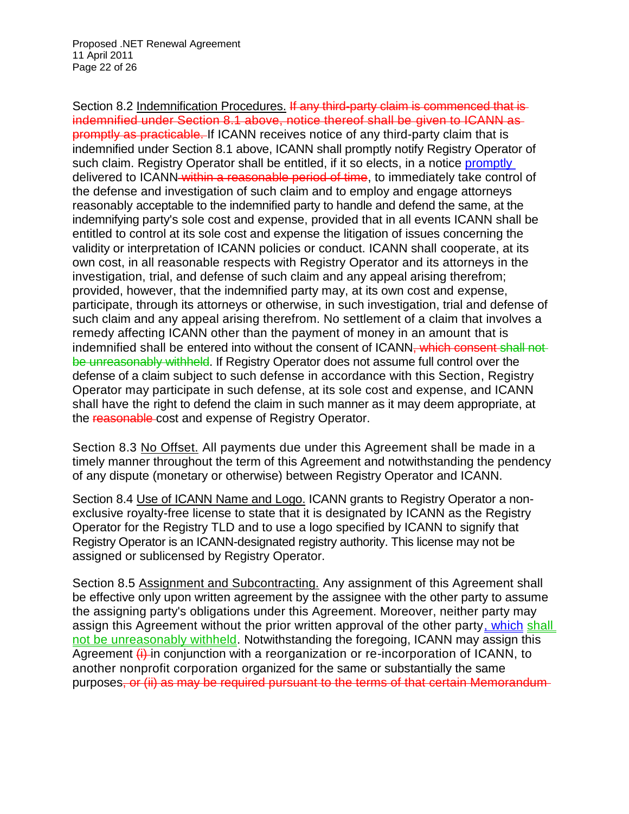Section 8.2 Indemnification Procedures. If any third-party claim is commenced that is indemnified under Section 8.1 above, notice thereof shall be given to ICANN as promptly as practicable. If ICANN receives notice of any third-party claim that is indemnified under Section 8.1 above, ICANN shall promptly notify Registry Operator of such claim. Registry Operator shall be entitled, if it so elects, in a notice promptly delivered to ICANN within a reasonable period of time, to immediately take control of the defense and investigation of such claim and to employ and engage attorneys reasonably acceptable to the indemnified party to handle and defend the same, at the indemnifying party's sole cost and expense, provided that in all events ICANN shall be entitled to control at its sole cost and expense the litigation of issues concerning the validity or interpretation of ICANN policies or conduct. ICANN shall cooperate, at its own cost, in all reasonable respects with Registry Operator and its attorneys in the investigation, trial, and defense of such claim and any appeal arising therefrom; provided, however, that the indemnified party may, at its own cost and expense, participate, through its attorneys or otherwise, in such investigation, trial and defense of such claim and any appeal arising therefrom. No settlement of a claim that involves a remedy affecting ICANN other than the payment of money in an amount that is indemnified shall be entered into without the consent of ICANN, which consent shall not be unreasonably withheld. If Registry Operator does not assume full control over the defense of a claim subject to such defense in accordance with this Section, Registry Operator may participate in such defense, at its sole cost and expense, and ICANN shall have the right to defend the claim in such manner as it may deem appropriate, at the reasonable cost and expense of Registry Operator.

Section 8.3 No Offset. All payments due under this Agreement shall be made in a timely manner throughout the term of this Agreement and notwithstanding the pendency of any dispute (monetary or otherwise) between Registry Operator and ICANN.

Section 8.4 Use of ICANN Name and Logo. ICANN grants to Registry Operator a nonexclusive royalty-free license to state that it is designated by ICANN as the Registry Operator for the Registry TLD and to use a logo specified by ICANN to signify that Registry Operator is an ICANN-designated registry authority. This license may not be assigned or sublicensed by Registry Operator.

Section 8.5 Assignment and Subcontracting. Any assignment of this Agreement shall be effective only upon written agreement by the assignee with the other party to assume the assigning party's obligations under this Agreement. Moreover, neither party may assign this Agreement without the prior written approval of the other party, which shall not be unreasonably withheld. Notwithstanding the foregoing, ICANN may assign this Agreement  $\ddot{\textbf{t}}$  in conjunction with a reorganization or re-incorporation of ICANN, to another nonprofit corporation organized for the same or substantially the same purposes, or (ii) as may be required pursuant to the terms of that certain Memorandum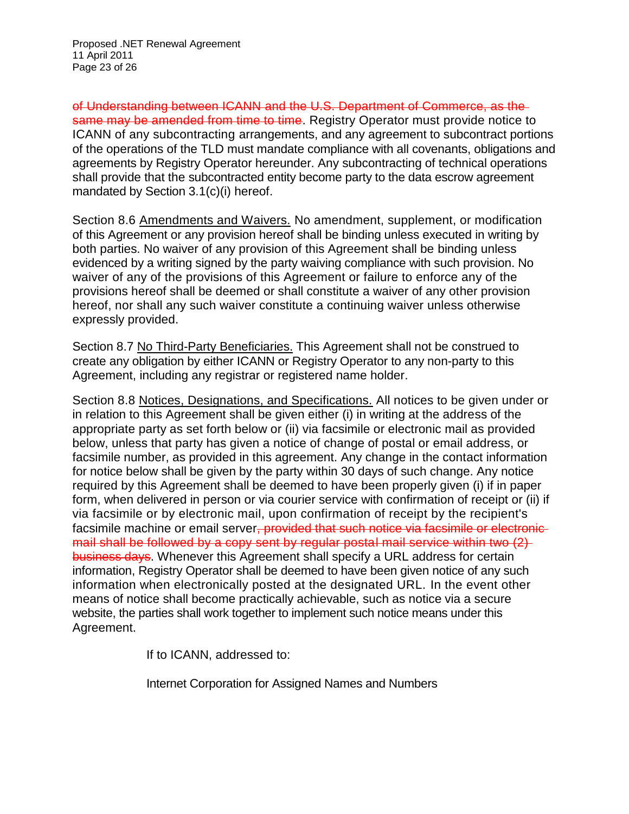of Understanding between ICANN and the U.S. Department of Commerce, as the same may be amended from time to time. Registry Operator must provide notice to ICANN of any subcontracting arrangements, and any agreement to subcontract portions of the operations of the TLD must mandate compliance with all covenants, obligations and agreements by Registry Operator hereunder. Any subcontracting of technical operations shall provide that the subcontracted entity become party to the data escrow agreement mandated by Section 3.1(c)(i) hereof.

Section 8.6 Amendments and Waivers. No amendment, supplement, or modification of this Agreement or any provision hereof shall be binding unless executed in writing by both parties. No waiver of any provision of this Agreement shall be binding unless evidenced by a writing signed by the party waiving compliance with such provision. No waiver of any of the provisions of this Agreement or failure to enforce any of the provisions hereof shall be deemed or shall constitute a waiver of any other provision hereof, nor shall any such waiver constitute a continuing waiver unless otherwise expressly provided.

Section 8.7 No Third-Party Beneficiaries. This Agreement shall not be construed to create any obligation by either ICANN or Registry Operator to any non-party to this Agreement, including any registrar or registered name holder.

Section 8.8 Notices, Designations, and Specifications. All notices to be given under or in relation to this Agreement shall be given either (i) in writing at the address of the appropriate party as set forth below or (ii) via facsimile or electronic mail as provided below, unless that party has given a notice of change of postal or email address, or facsimile number, as provided in this agreement. Any change in the contact information for notice below shall be given by the party within 30 days of such change. Any notice required by this Agreement shall be deemed to have been properly given (i) if in paper form, when delivered in person or via courier service with confirmation of receipt or (ii) if via facsimile or by electronic mail, upon confirmation of receipt by the recipient's facsimile machine or email server<del>, provided that such notice via facsimile or electronic</del> mail shall be followed by a copy sent by regular postal mail service within two (2) business days. Whenever this Agreement shall specify a URL address for certain information, Registry Operator shall be deemed to have been given notice of any such information when electronically posted at the designated URL. In the event other means of notice shall become practically achievable, such as notice via a secure website, the parties shall work together to implement such notice means under this Agreement.

If to ICANN, addressed to:

Internet Corporation for Assigned Names and Numbers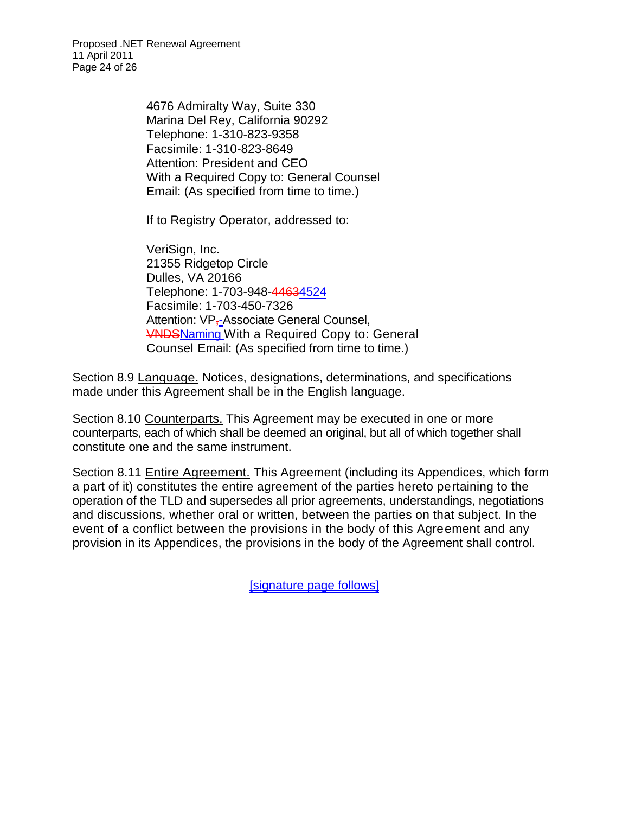Proposed .NET Renewal Agreement 11 April 2011 Page 24 of 26

> 4676 Admiralty Way, Suite 330 Marina Del Rey, California 90292 Telephone: 1-310-823-9358 Facsimile: 1-310-823-8649 Attention: President and CEO With a Required Copy to: General Counsel Email: (As specified from time to time.)

If to Registry Operator, addressed to:

VeriSign, Inc. 21355 Ridgetop Circle Dulles, VA 20166 Telephone: 1-703-948-44634524 Facsimile: 1-703-450-7326 Attention: VP<sub>7-</sub>Associate General Counsel, **WADSNaming With a Required Copy to: General** Counsel Email: (As specified from time to time.)

Section 8.9 Language. Notices, designations, determinations, and specifications made under this Agreement shall be in the English language.

Section 8.10 Counterparts. This Agreement may be executed in one or more counterparts, each of which shall be deemed an original, but all of which together shall constitute one and the same instrument.

Section 8.11 **Entire Agreement.** This Agreement (including its Appendices, which form a part of it) constitutes the entire agreement of the parties hereto pertaining to the operation of the TLD and supersedes all prior agreements, understandings, negotiations and discussions, whether oral or written, between the parties on that subject. In the event of a conflict between the provisions in the body of this Agreement and any provision in its Appendices, the provisions in the body of the Agreement shall control.

[signature page follows]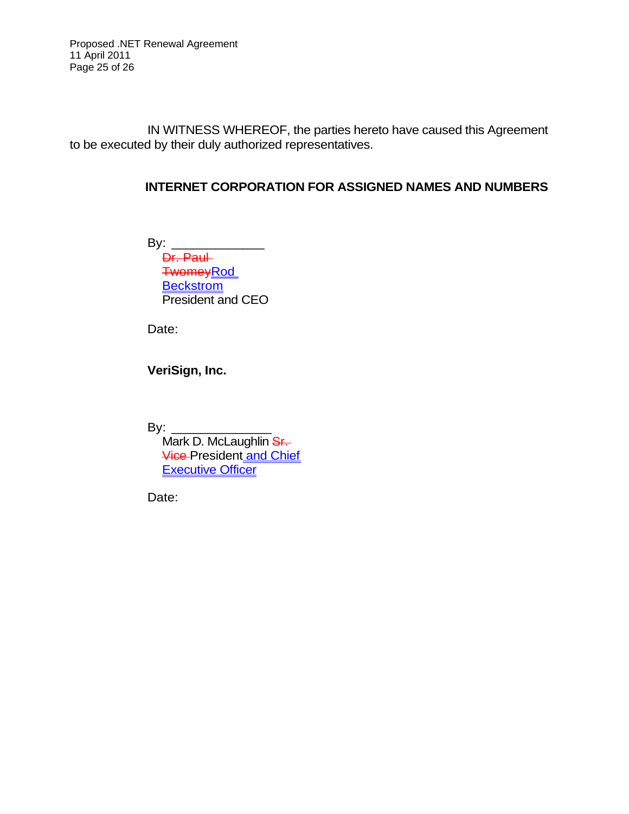Proposed .NET Renewal Agreement 11 April 2011 Page 25 of 26

IN WITNESS WHEREOF, the parties hereto have caused this Agreement to be executed by their duly authorized representatives.

#### **INTERNET CORPORATION FOR ASSIGNED NAMES AND NUMBERS**

By: \_\_\_\_\_\_\_\_\_\_\_\_\_ Dr. Paul TwomeyRod **Beckstrom** President and CEO

Date:

**VeriSign, Inc.**

By:  $\frac{2}{\sqrt{2}}$ 

Mark D. McLaughlin Sr. **Vice President and Chief Executive Officer** 

Date: